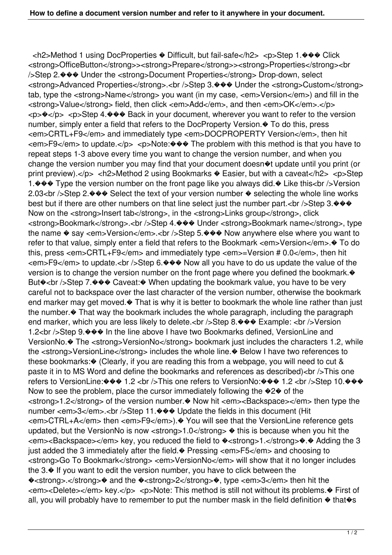<h2>Method 1 using DocProperties � Difficult, but fail-safe</h2> <p>Step 1.��� Click <strong>OfficeButton</strong>><strong>Prepare</strong>><strong>Properties</strong><br />Step 2.��� Under the <strong>Document Properties</strong> Drop-down, select <strong>Advanced Properties</strong>.<br />Step 3.��� Under the <strong>Custom</strong> tab, type the <strong>Name</strong> you want (in my case, <em>Version</em>) and fill in the <strong>Value</strong> field, then click <em>Add</em>, and then <em>OK</em>.</p> <p>�</p> <p>Step 4.��� Back in your document, wherever you want to refer to the version number, simply enter a field that refers to the DocProperty Version.  $\odot$  To do this, press <em>CRTL+F9</em> and immediately type <em>DOCPROPERTY Version</em>, then hit <em>F9</em> to update.</p> <p>Note:��� The problem with this method is that you have to repeat steps 1-3 above every time you want to change the version number, and when you change the version number you may find that your document doesn�t update until you print (or print preview).</p> <h2>Method 2 using Bookmarks � Easier, but with a caveat</h2> <p>Step 1. $\Diamond \Diamond \Diamond$  Type the version number on the front page like you always did. $\Diamond$  Like this<br />>>> Version 2.03 chr />Step 2. $\blacklozenge \blacklozenge \blacklozenge$  Select the text of your version number  $\blacklozenge$  selecting the whole line works best but if there are other numbers on that line select just the number part.<br/>shown-step 3. $\leftrightarrow\$ Now on the <strong>Insert tab</strong>, in the <strong>Links group</strong>, click <strong>Bookmark</strong>.<br />Step 4.��� Under <strong>Bookmark name</strong>, type the name  $\diamond$  say <em>Version</em>.<br />br />Step 5. $\diamond\diamond\diamond$  Now anywhere else where you want to refer to that value, simply enter a field that refers to the Bookmark <em>Version</em>. $\bullet$  To do this, press <em>CRTL+F9</em> and immediately type <em>=Version # 0.0</em>, then hit <em>F9</em> to update.<br />br Step 6. $\diamond \diamond \diamond \diamond$  Now all you have to do us update the value of the version is to change the version number on the front page where you defined the bookmark. But�<br />Step 7.��� Caveat: When updating the bookmark value, you have to be very careful not to backspace over the last character of the version number, otherwise the bookmark end marker may get moved. $\bullet$  That is why it is better to bookmark the whole line rather than just the number.� That way the bookmark includes the whole paragraph, including the paragraph end marker, which you are less likely to delete.<br />Step 8. $\diamond\$  $\diamond\$ Example: <br />Version 1.2<br />>>>>Step 9. $\blacklozenge\blacklozenge\blacklozenge$  In the line above I have two Bookmarks defined, VersionLine and VersionNo.� The <strong>VersionNo</strong> bookmark just includes the characters 1.2, while the <strong>VersionLine</strong> includes the whole line. $\bullet$  Below I have two references to these bookmarks:� (Clearly, if you are reading this from a webpage, you will need to cut & paste it in to MS Word and define the bookmarks and references as described)<br />>
This one refers to VersionLine:��� 1.2 <br />>> />This one refers to VersionNo:��� 1.2 <br />> />Step 10.��� Now to see the problem, place the cursor immediately following the  $\bigotimes^2 \otimes$  of the <strong>1.2</strong> of the version number.� Now hit <em><Backspace></em> then type the number <em>3</em>.<br/>br />Step 11.<a></a> $\blacklozenge \blacklozenge$  Update the fields in this document (Hit <em>CTRL+A</em> then <em>F9</em>).� You will see that the VersionLine reference gets updated, but the VersionNo is now < strong >  $1.0$  </ strong  $\bullet$  this is because when you hit the <em><Backspace></em> key, you reduced the field to �<strong>1.</strong>�.� Adding the 3 just added the 3 immediately after the field.� Pressing <em>F5</em> and choosing to <strong>Go To Bookmark</strong> <em>VersionNo</em> will show that it no longer includes the 3.� If you want to edit the version number, you have to click between the �<strong>.</strong>� and the �<strong>2</strong>�, type <em>3</em> then hit the <em><Delete></em> key.</p> <p>Note: This method is still not without its problems.� First of all, you will probably have to remember to put the number mask in the field definition  $\triangle$  that $\diamond$ s